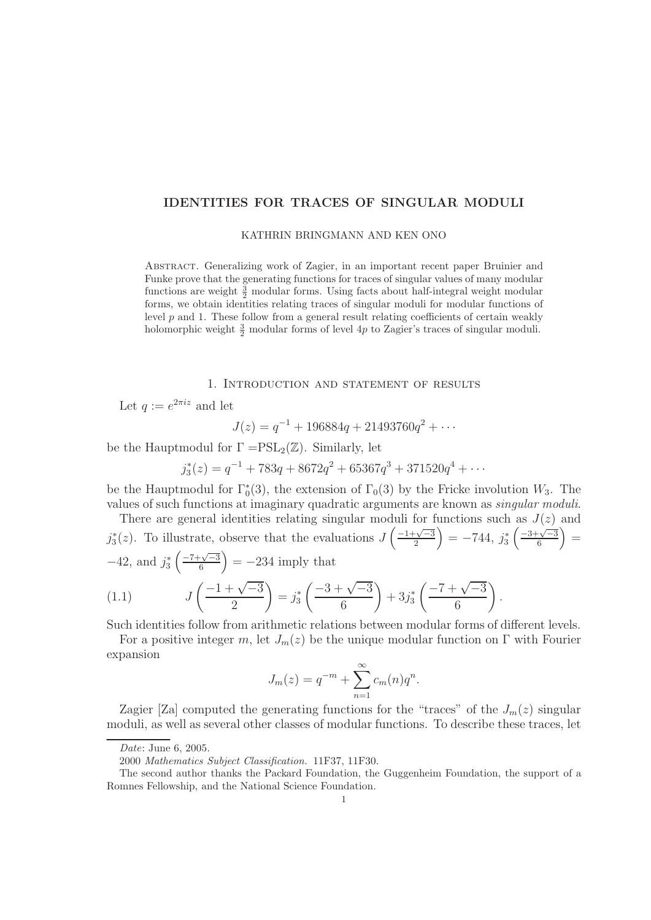# **IDENTITIES FOR TRACES OF SINGULAR MODULI**

## KATHRIN BRINGMANN AND KEN ONO

Abstract. Generalizing work of Zagier, in an important recent paper Bruinier and Funke prove that the generating functions for traces of singular values of many modular functions are weight  $\frac{3}{2}$  modular forms. Using facts about half-integral weight modular forms, we obtain identities relating traces of singular moduli for modular functions of level  $p$  and 1. These follow from a general result relating coefficients of certain weakly holomorphic weight  $\frac{3}{2}$  modular forms of level 4p to Zagier's traces of singular moduli.

#### 1. Introduction and statement of results

Let  $q := e^{2\pi i z}$  and let

$$
J(z) = q^{-1} + 196884q + 21493760q^{2} + \cdots
$$

be the Hauptmodul for  $\Gamma = PSL_2(\mathbb{Z})$ . Similarly, let

$$
j_3^*(z) = q^{-1} + 783q + 8672q^2 + 65367q^3 + 371520q^4 + \cdots
$$

be the Hauptmodul for  $\Gamma_0^*(3)$ , the extension of  $\Gamma_0(3)$  by the Fricke involution  $W_3$ . The values of such functions at imaginary quadratic arguments are known as singular moduli.

There are general identities relating singular moduli for functions such as  $J(z)$  and  $j_3^*(z)$ . To illustrate, observe that the evaluations  $J\left(\frac{-1+\sqrt{-3}}{2}\right) = -744$ ,  $j_3^*\left(\frac{-3+\sqrt{-3}}{6}\right) =$  $-42$ , and  $j_3^* \left( \frac{-7 + \sqrt{-3}}{6} \right) = -234$  imply that

(1.1) 
$$
J\left(\frac{-1+\sqrt{-3}}{2}\right) = j_3^* \left(\frac{-3+\sqrt{-3}}{6}\right) + 3j_3^* \left(\frac{-7+\sqrt{-3}}{6}\right).
$$

Such identities follow from arithmetic relations between modular forms of different levels.

For a positive integer m, let  $J_m(z)$  be the unique modular function on  $\Gamma$  with Fourier expansion

$$
J_m(z) = q^{-m} + \sum_{n=1}^{\infty} c_m(n)q^n.
$$

Zagier [Za] computed the generating functions for the "traces" of the  $J_m(z)$  singular moduli, as well as several other classes of modular functions. To describe these traces, let

Date: June 6, 2005.

<sup>2000</sup> Mathematics Subject Classification. 11F37, 11F30.

The second author thanks the Packard Foundation, the Guggenheim Foundation, the support of a Romnes Fellowship, and the National Science Foundation.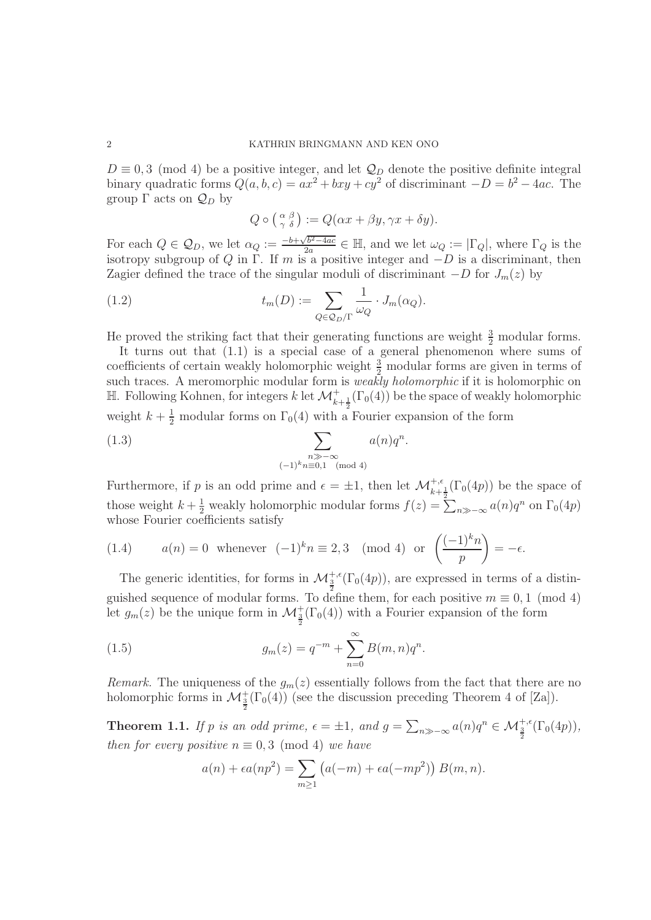$D \equiv 0, 3 \pmod{4}$  be a positive integer, and let  $\mathcal{Q}_D$  denote the positive definite integral binary quadratic forms  $Q(a, b, c) = ax^2 + bxy + cy^2$  of discriminant  $-D = b^2 - 4ac$ . The group  $\Gamma$  acts on  $\mathcal{Q}_D$  by

$$
Q \circ \left(\begin{array}{c} \alpha & \beta \\ \gamma & \delta \end{array}\right) := Q(\alpha x + \beta y, \gamma x + \delta y).
$$

For each  $Q \in \mathcal{Q}_D$ , we let  $\alpha_Q := \frac{-b + \sqrt{b^2 - 4ac}}{2a} \in \mathbb{H}$ , and we let  $\omega_Q := |\Gamma_Q|$ , where  $\Gamma_Q$  is the isotropy subgroup of Q in  $\Gamma$ . If m is a positive integer and  $-D$  is a discriminant, then Zagier defined the trace of the singular moduli of discriminant  $-D$  for  $J_m(z)$  by

(1.2) 
$$
t_m(D) := \sum_{Q \in \mathcal{Q}_D/\Gamma} \frac{1}{\omega_Q} \cdot J_m(\alpha_Q).
$$

He proved the striking fact that their generating functions are weight  $\frac{3}{2}$  modular forms.

It turns out that  $(1.1)$  is a special case of a general phenomenon where sums of coefficients of certain weakly holomorphic weight  $\frac{3}{2}$  modular forms are given in terms of such traces. A meromorphic modular form is *weakly holomorphic* if it is holomorphic on H. Following Kohnen, for integers k let  $\mathcal{M}^+_{k+\frac{1}{2}}(\Gamma_0(4))$  be the space of weakly holomorphic weight  $k + \frac{1}{2}$  modular forms on  $\Gamma_0(4)$  with a Fourier expansion of the form

(1.3) 
$$
\sum_{\substack{n \gg -\infty \\ (-1)^k n \equiv 0,1 \pmod{4}}} a(n)q^n.
$$

Furthermore, if p is an odd prime and  $\epsilon = \pm 1$ , then let  $\mathcal{M}_{k+\frac{1}{2}}^{+,\epsilon}(\Gamma_0(4p))$  be the space of those weight  $k + \frac{1}{2}$  weakly holomorphic modular forms  $f(z) = \sum_{n \gg -\infty} a(n)q^n$  on  $\Gamma_0(4p)$ whose Fourier coefficients satisfy

(1.4) 
$$
a(n) = 0 \text{ whenever } (-1)^k n \equiv 2, 3 \pmod{4} \text{ or } \left(\frac{(-1)^k n}{p}\right) = -\epsilon.
$$

The generic identities, for forms in  $\mathcal{M}_{\frac{3}{2}}^{+,\epsilon}(\Gamma_0(4p))$ , are expressed in terms of a distinguished sequence of modular forms. To define them, for each positive  $m \equiv 0, 1 \pmod{4}$ let  $g_m(z)$  be the unique form in  $\mathcal{M}^+_{\frac{3}{2}}(\Gamma_0(4))$  with a Fourier expansion of the form

(1.5) 
$$
g_m(z) = q^{-m} + \sum_{n=0}^{\infty} B(m, n)q^n.
$$

Remark. The uniqueness of the  $g_m(z)$  essentially follows from the fact that there are no holomorphic forms in  $\mathcal{M}_{\frac{3}{2}}^{+}(\Gamma_0(4))$  (see the discussion preceding Theorem 4 of [Za]).

**Theorem 1.1.** If p is an odd prime,  $\epsilon = \pm 1$ , and  $g = \sum_{n \gg -\infty} a(n)q^n \in \mathcal{M}_{\frac{3}{2}}^{+,\epsilon}(\Gamma_0(4p)),$ then for every positive  $n \equiv 0, 3 \pmod{4}$  we have

$$
a(n) + \epsilon a(np^2) = \sum_{m \ge 1} \left( a(-m) + \epsilon a(-mp^2) \right) B(m, n).
$$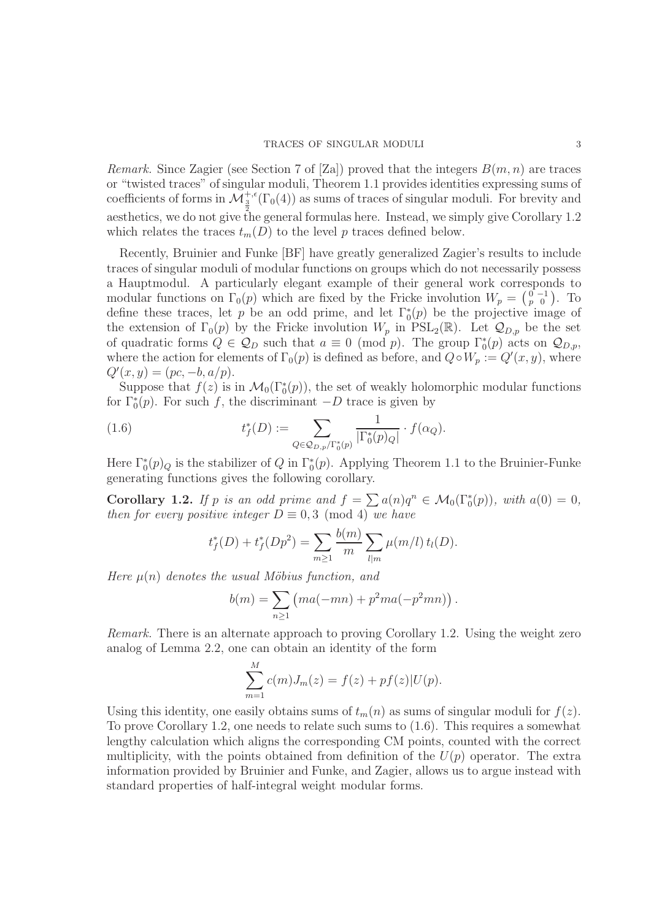Remark. Since Zagier (see Section 7 of [Za]) proved that the integers  $B(m, n)$  are traces or "twisted traces" of singular moduli, Theorem 1.1 provides identities expressing sums of coefficients of forms in  $\mathcal{M}_{\frac{3}{2}}^{+,\epsilon}(\Gamma_0(4))$  as sums of traces of singular moduli. For brevity and aesthetics, we do not give the general formulas here. Instead, we simply give Corollary 1.2 which relates the traces  $t_m(D)$  to the level p traces defined below.

Recently, Bruinier and Funke [BF] have greatly generalized Zagier's results to include traces of singular moduli of modular functions on groups which do not necessarily possess a Hauptmodul. A particularly elegant example of their general work corresponds to modular functions on  $\Gamma_0(p)$  which are fixed by the Fricke involution  $W_p = \begin{pmatrix} 0 & -1 \\ p & 0 \end{pmatrix}$ . To define these traces, let p be an odd prime, and let  $\Gamma_0^*(p)$  be the projective image of the extension of  $\Gamma_0(p)$  by the Fricke involution  $W_p$  in  $PSL_2(\mathbb{R})$ . Let  $\mathcal{Q}_{D,p}$  be the set of quadratic forms  $Q \in \mathcal{Q}_D$  such that  $a \equiv 0 \pmod{p}$ . The group  $\Gamma_0^*(p)$  acts on  $\mathcal{Q}_{D,p}$ , where the action for elements of  $\Gamma_0(p)$  is defined as before, and  $Q \circ W_p := Q'(x, y)$ , where  $Q'(x, y) = (pc, -b, a/p).$ 

Suppose that  $f(z)$  is in  $\mathcal{M}_0(\Gamma_0^*(p))$ , the set of weakly holomorphic modular functions for  $\Gamma_0^*(p)$ . For such f, the discriminant  $-D$  trace is given by

(1.6) 
$$
t_f^*(D) := \sum_{Q \in \mathcal{Q}_{D,p}/\Gamma_0^*(p)} \frac{1}{|\Gamma_0^*(p)_{Q}|} \cdot f(\alpha_Q).
$$

Here  $\Gamma_0^*(p)_{Q}$  is the stabilizer of Q in  $\Gamma_0^*(p)$ . Applying Theorem 1.1 to the Bruinier-Funke generating functions gives the following corollary.

**Corollary 1.2.** If p is an odd prime and  $f = \sum a(n)q^n \in M_0(\Gamma_0^*(p))$ , with  $a(0) = 0$ , then for every positive integer  $D = 0, 3 \pmod{4}$  we have then for every positive integer  $D \equiv 0.3 \pmod{4}$  we have

$$
t_f^*(D) + t_f^*(Dp^2) = \sum_{m \ge 1} \frac{b(m)}{m} \sum_{l|m} \mu(m/l) t_l(D).
$$

Here  $\mu(n)$  denotes the usual Möbius function, and

$$
b(m) = \sum_{n \ge 1} (ma(-mn) + p^2 ma(-p^2mn)).
$$

Remark. There is an alternate approach to proving Corollary 1.2. Using the weight zero analog of Lemma 2.2, one can obtain an identity of the form

$$
\sum_{m=1}^{M} c(m)J_m(z) = f(z) + pf(z)|U(p).
$$

Using this identity, one easily obtains sums of  $t_m(n)$  as sums of singular moduli for  $f(z)$ . To prove Corollary 1.2, one needs to relate such sums to (1.6). This requires a somewhat lengthy calculation which aligns the corresponding CM points, counted with the correct multiplicity, with the points obtained from definition of the  $U(p)$  operator. The extra information provided by Bruinier and Funke, and Zagier, allows us to argue instead with standard properties of half-integral weight modular forms.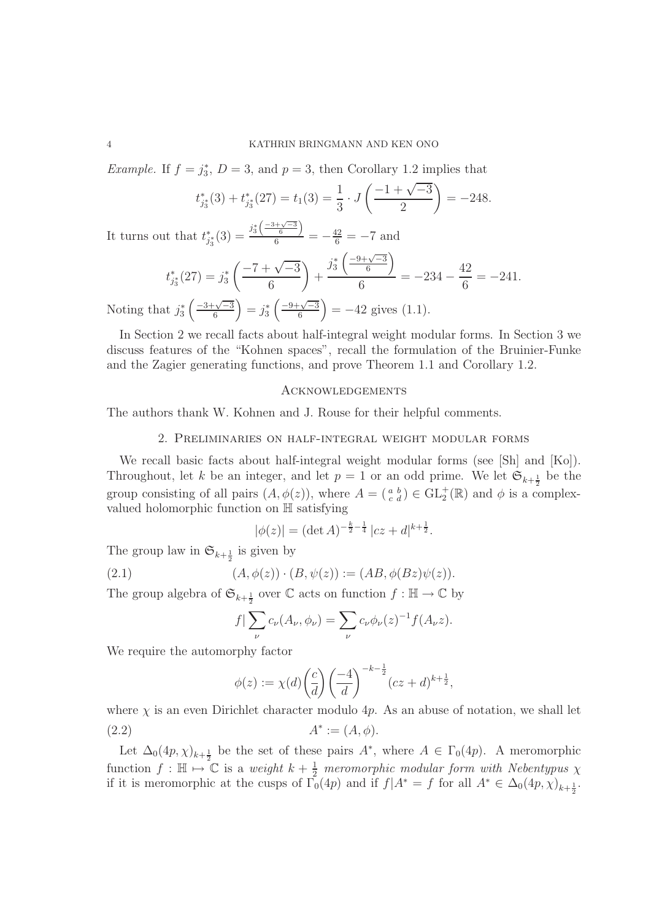*Example.* If  $f = j_3^*$ ,  $D = 3$ , and  $p = 3$ , then Corollary 1.2 implies that

$$
t_{j_3^*}^*(3) + t_{j_3^*}^*(27) = t_1(3) = \frac{1}{3} \cdot J\left(\frac{-1 + \sqrt{-3}}{2}\right) = -248.
$$

It turns out that  $t_{j_3^*}^*(3) = \frac{j_3^*\left(\frac{-3+\sqrt{-3}}{6}\right)}{6} = -\frac{42}{6} = -7$  and

$$
t_{j_3^*}^*(27) = j_3^* \left( \frac{-7 + \sqrt{-3}}{6} \right) + \frac{j_3^* \left( \frac{-9 + \sqrt{-3}}{6} \right)}{6} = -234 - \frac{42}{6} = -241.
$$

Noting that  $j_3^* \left( \frac{-3+\sqrt{-3}}{6} \right) = j_3^* \left( \frac{-9+\sqrt{-3}}{6} \right) = -42$  gives (1.1).

In Section 2 we recall facts about half-integral weight modular forms. In Section 3 we discuss features of the "Kohnen spaces", recall the formulation of the Bruinier-Funke and the Zagier generating functions, and prove Theorem 1.1 and Corollary 1.2.

## Acknowledgements

The authors thank W. Kohnen and J. Rouse for their helpful comments.

2. Preliminaries on half-integral weight modular forms

We recall basic facts about half-integral weight modular forms (see [Sh] and [Ko]). Throughout, let k be an integer, and let  $p = 1$  or an odd prime. We let  $\mathfrak{S}_{k+\frac{1}{2}}$  be the group consisting of all pairs  $(A, \phi(z))$ , where  $A = \begin{pmatrix} a & b \\ c & d \end{pmatrix} \in GL_2^+(\mathbb{R})$  and  $\phi$  is a complexvalued holomorphic function on H satisfying

$$
|\phi(z)| = (\det A)^{-\frac{k}{2} - \frac{1}{4}} |cz + d|^{k + \frac{1}{2}}.
$$

The group law in  $\mathfrak{S}_{k+\frac{1}{2}}$  is given by

(2.1) 
$$
(A, \phi(z)) \cdot (B, \psi(z)) := (AB, \phi(Bz)\psi(z)).
$$

The group algebra of  $\mathfrak{S}_{k+\frac{1}{2}}$  over  $\mathbb C$  acts on function  $f : \mathbb H \to \mathbb C$  by

$$
f|\sum_{\nu}c_{\nu}(A_{\nu},\phi_{\nu})=\sum_{\nu}c_{\nu}\phi_{\nu}(z)^{-1}f(A_{\nu}z).
$$

We require the automorphy factor

$$
\phi(z) := \chi(d) \left( \frac{c}{d} \right) \left( \frac{-4}{d} \right)^{-k - \frac{1}{2}} (cz + d)^{k + \frac{1}{2}},
$$

where  $\chi$  is an even Dirichlet character modulo 4p. As an abuse of notation, we shall let (2.2)  $A^* := (A, \phi).$ 

Let  $\Delta_0(4p, \chi)_{k+\frac{1}{2}}$  be the set of these pairs  $A^*$ , where  $A \in \Gamma_0(4p)$ . A meromorphic function  $f : \mathbb{H} \mapsto \mathbb{C}$  is a weight  $k + \frac{1}{2}$  meromorphic modular form with Nebentypus  $\chi$ if it is meromorphic at the cusps of  $\Gamma_0(4p)$  and if  $f|A^* = f$  for all  $A^* \in \Delta_0(4p, \chi)_{k+\frac{1}{2}}$ .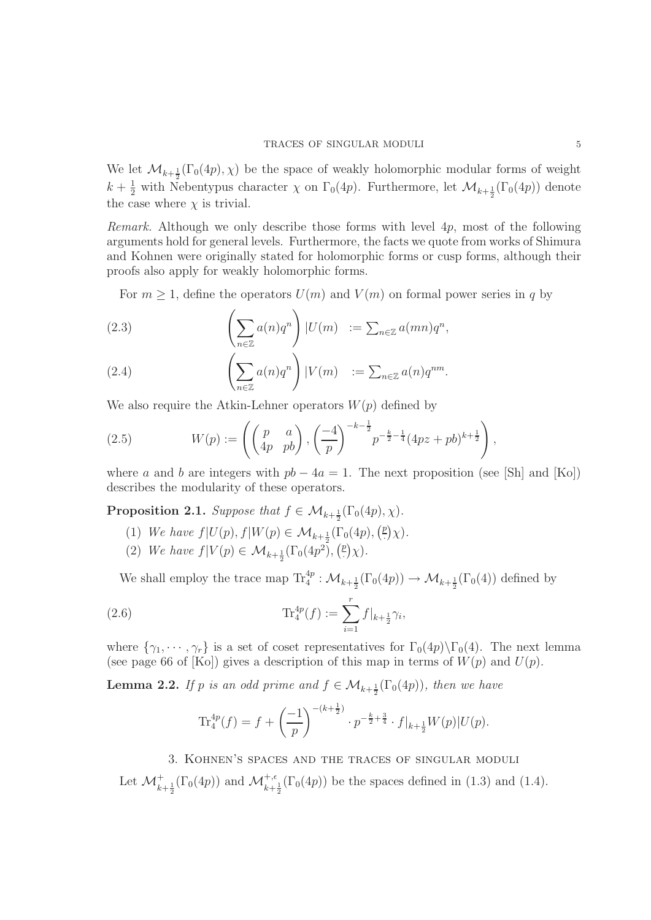We let  $\mathcal{M}_{k+\frac{1}{2}}(\Gamma_0(4p), \chi)$  be the space of weakly holomorphic modular forms of weight  $k + \frac{1}{2}$  with Nebentypus character  $\chi$  on  $\Gamma_0(4p)$ . Furthermore, let  $\mathcal{M}_{k+\frac{1}{2}}(\Gamma_0(4p))$  denote the case where  $\chi$  is trivial.

Remark. Although we only describe those forms with level 4p, most of the following arguments hold for general levels. Furthermore, the facts we quote from works of Shimura and Kohnen were originally stated for holomorphic forms or cusp forms, although their proofs also apply for weakly holomorphic forms.

For  $m \geq 1$ , define the operators  $U(m)$  and  $V(m)$  on formal power series in q by

(2.3) 
$$
\left(\sum_{n\in\mathbb{Z}}a(n)q^n\right)|U(m)|:=\sum_{n\in\mathbb{Z}}a(mn)q^n,
$$

(2.4) 
$$
\left(\sum_{n\in\mathbb{Z}}a(n)q^{n}\right)|V(m)| := \sum_{n\in\mathbb{Z}}a(n)q^{nm}.
$$

We also require the Atkin-Lehner operators  $W(p)$  defined by

(2.5) 
$$
W(p) := \left( \begin{pmatrix} p & a \\ 4p & pb \end{pmatrix}, \left( \frac{-4}{p} \right)^{-k - \frac{1}{2}} p^{-\frac{k}{2} - \frac{1}{4}} (4pz + pb)^{k + \frac{1}{2}} \right),
$$

where a and b are integers with  $pb - 4a = 1$ . The next proposition (see [Sh] and [Ko]) describes the modularity of these operators.

**Proposition 2.1.** Suppose that  $f \in \mathcal{M}_{k+\frac{1}{2}}(\Gamma_0(4p), \chi)$ .

- (1) We have  $f|U(p), f|W(p) \in \mathcal{M}_{k+\frac{1}{2}}(\Gamma_0(4p), \binom{p}{\cdot}\chi)$ .
- (2) We have  $f|V(p) \in M_{k+\frac{1}{2}}(\Gamma_0(4p^2), \binom{p}{\cdot}\chi)$ .

We shall employ the trace map  $\text{Tr}_4^{4p} : \mathcal{M}_{k+\frac{1}{2}}(\Gamma_0(4p)) \to \mathcal{M}_{k+\frac{1}{2}}(\Gamma_0(4))$  defined by

(2.6) 
$$
\operatorname{Tr}_{4}^{4p}(f) := \sum_{i=1}^{r} f|_{k+\frac{1}{2}} \gamma_{i},
$$

where  $\{\gamma_1, \cdots, \gamma_r\}$  is a set of coset representatives for  $\Gamma_0(4p)\backslash\Gamma_0(4)$ . The next lemma (see page 66 of [Ko]) gives a description of this map in terms of  $W(p)$  and  $U(p)$ .

**Lemma 2.2.** If p is an odd prime and  $f \in M_{k+\frac{1}{2}}(\Gamma_0(4p))$ , then we have

$$
\operatorname{Tr}_4^{4p}(f) = f + \left(\frac{-1}{p}\right)^{-(k+\frac{1}{2})} \cdot p^{-\frac{k}{2} + \frac{3}{4}} \cdot f|_{k+\frac{1}{2}} W(p)|U(p).
$$

3. Kohnen's spaces and the traces of singular moduli

Let  $\mathcal{M}_{k+\frac{1}{2}}^+(\Gamma_0(4p))$  and  $\mathcal{M}_{k+\frac{1}{2}}^{+,\epsilon}(\Gamma_0(4p))$  be the spaces defined in (1.3) and (1.4).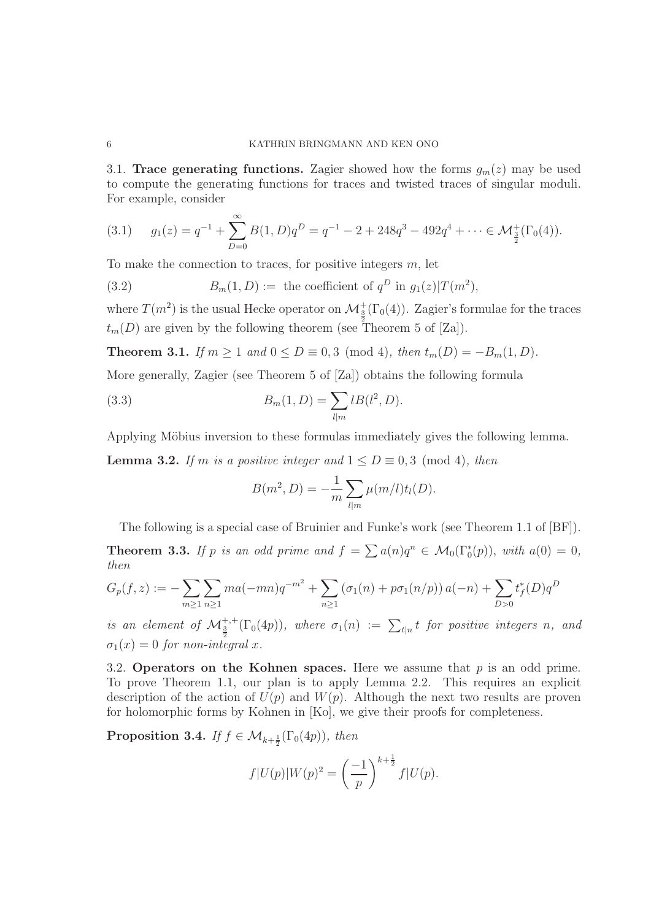#### 6 KATHRIN BRINGMANN AND KEN ONO

3.1. **Trace generating functions.** Zagier showed how the forms  $g_m(z)$  may be used to compute the generating functions for traces and twisted traces of singular moduli. For example, consider

$$
(3.1) \t g_1(z) = q^{-1} + \sum_{D=0}^{\infty} B(1, D)q^D = q^{-1} - 2 + 248q^3 - 492q^4 + \dots \in \mathcal{M}_{\frac{3}{2}}^+(\Gamma_0(4)).
$$

To make the connection to traces, for positive integers  $m$ , let

(3.2) 
$$
B_m(1, D) := \text{ the coefficient of } q^D \text{ in } g_1(z) | T(m^2),
$$

where  $T(m^2)$  is the usual Hecke operator on  $\mathcal{M}_{\frac{3}{2}}^+(\Gamma_0(4))$ . Zagier's formulae for the traces  $t_m(D)$  are given by the following theorem (see Theorem 5 of [Za]).

**Theorem 3.1.** If  $m \ge 1$  and  $0 \le D \equiv 0, 3 \pmod{4}$ , then  $t_m(D) = -B_m(1, D)$ .

More generally, Zagier (see Theorem 5 of [Za]) obtains the following formula

(3.3) 
$$
B_m(1, D) = \sum_{l|m} l B(l^2, D).
$$

Applying Möbius inversion to these formulas immediately gives the following lemma.

**Lemma 3.2.** If m is a positive integer and  $1 \le D \equiv 0, 3 \pmod{4}$ , then

$$
B(m^2, D) = -\frac{1}{m} \sum_{l|m} \mu(m/l) t_l(D).
$$

The following is a special case of Bruinier and Funke's work (see Theorem 1.1 of [BF]).

**Theorem 3.3.** If p is an odd prime and  $f = \sum a(n)q^n \in M_0(\Gamma_0^*(p))$ , with  $a(0) = 0$ , then then

$$
G_p(f, z) := -\sum_{m \ge 1} \sum_{n \ge 1} m a(-mn) q^{-m^2} + \sum_{n \ge 1} (\sigma_1(n) + p \sigma_1(n/p)) a(-n) + \sum_{D > 0} t_f^*(D) q^D
$$

is an element of  $\mathcal{M}_{\frac{3}{2}}^{+,+}(\Gamma_0(4p))$ , where  $\sigma_1(n) := \sum_{t|n} t$  for positive integers n, and  $\sigma_1(x)=0$  for non-integral x.

3.2. **Operators on the Kohnen spaces.** Here we assume that  $p$  is an odd prime. To prove Theorem 1.1, our plan is to apply Lemma 2.2. This requires an explicit description of the action of  $U(p)$  and  $W(p)$ . Although the next two results are proven for holomorphic forms by Kohnen in [Ko], we give their proofs for completeness.

**Proposition 3.4.** If  $f \in \mathcal{M}_{k+\frac{1}{2}}(\Gamma_0(4p))$ , then

$$
f|U(p)|W(p)^{2} = \left(\frac{-1}{p}\right)^{k+\frac{1}{2}} f|U(p).
$$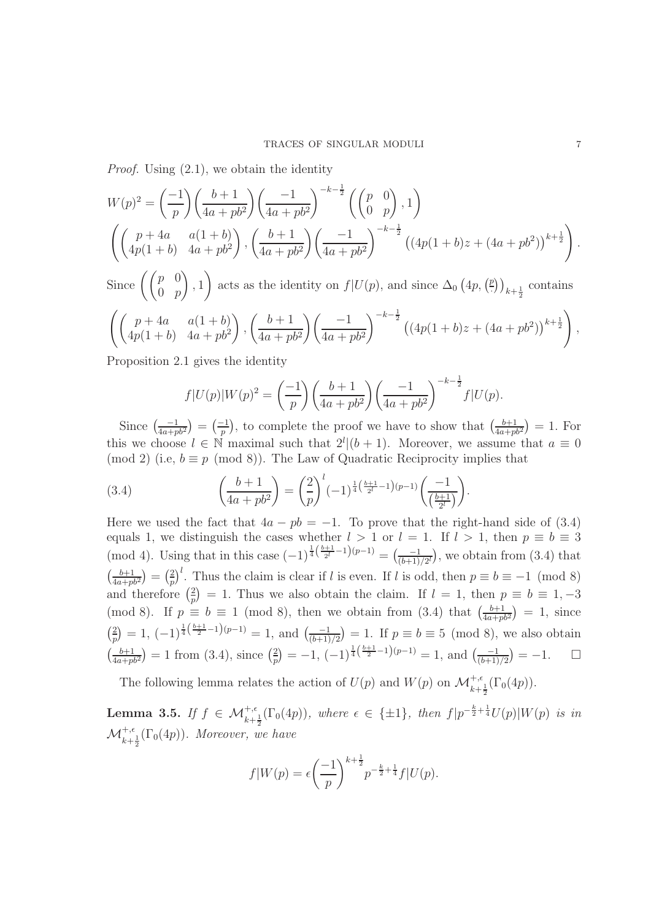Proof. Using (2.1), we obtain the identity

$$
W(p)^{2} = \left(\frac{-1}{p}\right) \left(\frac{b+1}{4a+pb^{2}}\right) \left(\frac{-1}{4a+pb^{2}}\right)^{-k-\frac{1}{2}} \left(\binom{p}{0}\right), 1\right)
$$

$$
\left(\left(\begin{array}{cc}p+4a & a(1+b) \\ 4p(1+b) & 4a+pb^{2}\end{array}\right), \left(\frac{b+1}{4a+pb^{2}}\right) \left(\frac{-1}{4a+pb^{2}}\right)^{-k-\frac{1}{2}} \left((4p(1+b)z+(4a+pb^{2}))^{k+\frac{1}{2}}\right).
$$

Since  $\left(\begin{pmatrix} p & 0 \\ 0 & p \end{pmatrix}\right)$ ), 1) acts as the identity on  $f|U(p)$ , and since  $\Delta_0$   $(4p, (2))_{k+\frac{1}{2}}$  contains  $\int (p+4a-a(1+b))$  $4p(1+b)$   $4a + pb^2$ ),  $\left(\frac{b+1}{1}\right)$  $\overline{4a + pb^2}$  $\binom{-1}{}$  $\overline{4a + pb^2}$  $\left( \left(4p(1+b)z + (4a + pb^2)\right)^{k+\frac{1}{2}} \right)$ ,

Proposition 2.1 gives the identity

$$
f|U(p)|W(p)^{2} = \left(\frac{-1}{p}\right)\left(\frac{b+1}{4a+pb^{2}}\right)\left(\frac{-1}{4a+pb^{2}}\right)^{-k-\frac{1}{2}}f|U(p).
$$

Since  $\left(\frac{-1}{4a+pb^2}\right) = \left(\frac{-1}{p}\right)$ , to complete the proof we have to show that  $\left(\frac{b+1}{4a+pb^2}\right) = 1$ . For this we choose  $l \in \mathbb{N}$  maximal such that  $2^l|(b+1)$ . Moreover, we assume that  $a \equiv 0$ (mod 2) (i.e,  $b \equiv p \pmod{8}$ ). The Law of Quadratic Reciprocity implies that

(3.4) 
$$
\left(\frac{b+1}{4a+pb^2}\right) = \left(\frac{2}{p}\right)^l (-1)^{\frac{1}{4}\left(\frac{b+1}{2^l}-1\right)(p-1)} \left(\frac{-1}{\left(\frac{b+1}{2^l}\right)}\right).
$$

Here we used the fact that  $4a - pb = -1$ . To prove that the right-hand side of (3.4) equals 1, we distinguish the cases whether  $l > 1$  or  $l = 1$ . If  $l > 1$ , then  $p \equiv b \equiv 3$ (mod 4). Using that in this case  $(-1)^{\frac{1}{4}(\frac{b+1}{2^l}-1)(p-1)} = \left(\frac{-1}{(b+1)/2^l}\right)$ , we obtain from (3.4) that  $\left(\frac{b+1}{4a+pb^2}\right) = \left(\frac{2}{p}\right)^l$ . Thus the claim is clear if l is even. If l is odd, then  $p \equiv b \equiv -1 \pmod{8}$ and therefore  $\left(\frac{2}{p}\right) = 1$ . Thus we also obtain the claim. If  $l = 1$ , then  $p \equiv b \equiv 1, -3$ (mod 8). If  $p \equiv b \equiv 1 \pmod{8}$ , then we obtain from (3.4) that  $\left(\frac{b+1}{4a+pb^2}\right) = 1$ , since  $\binom{2}{p} = 1$ ,  $(-1)^{\frac{1}{4}(\frac{b+1}{2}-1)(p-1)} = 1$ , and  $\binom{-1}{(\frac{b+1}{2})} = 1$ . If  $p \equiv b \equiv 5 \pmod{8}$ , we also obtain  $\left(\frac{b+1}{4a+pb^2}\right)=1$  from (3.4), since  $\left(\frac{2}{p}\right)=-1$ ,  $(-1)^{\frac{1}{4}\left(\frac{b+1}{2}-1\right)(p-1)}=1$ , and  $\left(\frac{-1}{(b+1)/2}\right)=-1$ .  $\Box$ 

The following lemma relates the action of  $U(p)$  and  $W(p)$  on  $\mathcal{M}^{+,\epsilon}_{k+\frac{1}{2}}(\Gamma_0(4p)).$ 

**Lemma 3.5.** If  $f \in \mathcal{M}_{k+\frac{1}{2}}^{+,\epsilon}(\Gamma_0(4p))$ , where  $\epsilon \in \{\pm 1\}$ , then  $f|p^{-\frac{k}{2}+\frac{1}{4}}U(p)|W(p)$  is in  $\mathcal{M}^{+,\epsilon}_{k+\frac{1}{2}}(\Gamma_0(4p)).$  Moreover, we have

$$
f|W(p) = \epsilon \left(\frac{-1}{p}\right)^{k+\frac{1}{2}} p^{-\frac{k}{2}+\frac{1}{4}} f|U(p).
$$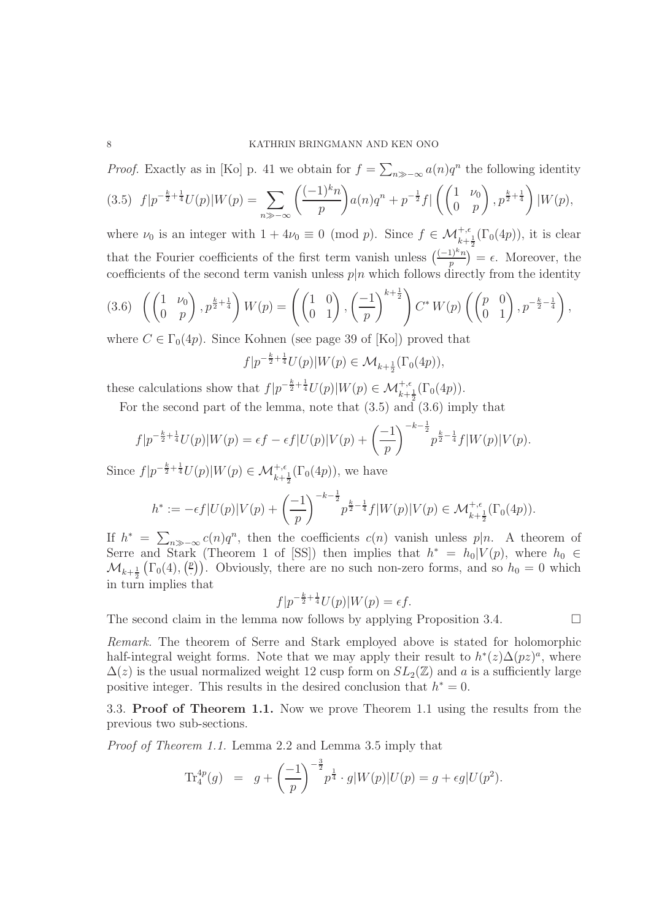### 8 KATHRIN BRINGMANN AND KEN ONO

*Proof.* Exactly as in [Ko] p. 41 we obtain for  $f = \sum_{n \gg -\infty} a(n)q^n$  the following identity

$$
(3.5) \ f|p^{-\frac{k}{2}+\frac{1}{4}}U(p)|W(p) = \sum_{n \gg -\infty} \left(\frac{(-1)^k n}{p}\right) a(n)q^n + p^{-\frac{1}{2}}f|\left(\begin{pmatrix} 1 & \nu_0 \\ 0 & p \end{pmatrix}, p^{\frac{k}{2}+\frac{1}{4}}\right)|W(p),
$$

where  $\nu_0$  is an integer with  $1 + 4\nu_0 \equiv 0 \pmod{p}$ . Since  $f \in \mathcal{M}_{k+\frac{1}{2}}^{+,\epsilon}(\Gamma_0(4p))$ , it is clear that the Fourier coefficients of the first term vanish unless  $\left(\frac{(-1)^k n}{n}\right)^k = \epsilon$ . Moreover, the coefficients of the second term vanish unless  $p|n$  which follows directly from the identity

$$
(3.6)\ \left(\begin{pmatrix}1&\nu_0\\0&p\end{pmatrix},p^{\frac{k}{2}+\frac{1}{4}}\right)W(p)=\left(\begin{pmatrix}1&0\\0&1\end{pmatrix},\left(\frac{-1}{p}\right)^{k+\frac{1}{2}}\right)C^*W(p)\left(\begin{pmatrix}p&0\\0&1\end{pmatrix},p^{-\frac{k}{2}-\frac{1}{4}}\right),
$$

where  $C \in \Gamma_0(4p)$ . Since Kohnen (see page 39 of [Ko]) proved that

$$
f|p^{-\frac{k}{2}+\frac{1}{4}}U(p)|W(p) \in \mathcal{M}_{k+\frac{1}{2}}(\Gamma_0(4p)),
$$

these calculations show that  $f|p^{-\frac{k}{2} + \frac{1}{4}}U(p)|W(p) \in \mathcal{M}_{k+\frac{1}{2}}^{+,\epsilon}(\Gamma_0(4p)).$ 

For the second part of the lemma, note that (3.5) and (3.6) imply that

$$
f|p^{-\frac{k}{2}+\frac{1}{4}}U(p)|W(p) = \epsilon f - \epsilon f|U(p)|V(p) + \left(\frac{-1}{p}\right)^{-k-\frac{1}{2}} p^{\frac{k}{2}-\frac{1}{4}}f|W(p)|V(p).
$$

Since  $f|p^{-\frac{k}{2}+\frac{1}{4}}U(p)|W(p) \in \mathcal{M}_{k+\frac{1}{2}}^{+,\epsilon}(\Gamma_0(4p)),$  we have

$$
h^* := -\epsilon f|U(p)|V(p) + \left(\frac{-1}{p}\right)^{-k-\frac{1}{2}} p^{\frac{k}{2}-\frac{1}{4}} f|W(p)|V(p) \in \mathcal{M}_{k+\frac{1}{2}}^{+,\epsilon}(\Gamma_0(4p)).
$$

If  $h^* = \sum_{n \gg -\infty} c(n)q^n$ , then the coefficients  $c(n)$  vanish unless  $p|n$ . A theorem of Serre and Stark (Theorem 1 of [SS]) then implies that  $h^* = h_0|V(p)$ , where  $h_0 \in$  $\mathcal{M}_{k+\frac{1}{2}}(\Gamma_0(4), \binom{p}{\cdot})$ . Obviously, there are no such non-zero forms, and so  $h_0 = 0$  which  $\lim_{k \to \infty} \frac{k}{2}$  \contribution implies that

$$
f|p^{-\frac{k}{2}+\frac{1}{4}}U(p)|W(p)=\epsilon f.
$$

The second claim in the lemma now follows by applying Proposition 3.4.  $\Box$ 

Remark. The theorem of Serre and Stark employed above is stated for holomorphic half-integral weight forms. Note that we may apply their result to  $h^*(z)\Delta(pz)^a$ , where  $\Delta(z)$  is the usual normalized weight 12 cusp form on  $SL_2(\mathbb{Z})$  and a is a sufficiently large positive integer. This results in the desired conclusion that  $h^* = 0$ .

3.3. **Proof of Theorem 1.1.** Now we prove Theorem 1.1 using the results from the previous two sub-sections.

Proof of Theorem 1.1. Lemma 2.2 and Lemma 3.5 imply that

$$
\mathrm{Tr}_4^{4p}(g) = g + \left(\frac{-1}{p}\right)^{-\frac{3}{2}} p^{\frac{1}{4}} \cdot g|W(p)|U(p) = g + \epsilon g|U(p^2).
$$